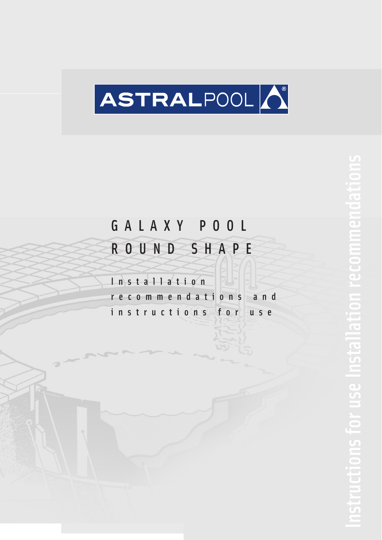

# GALAXY POOL

# ROUND SHAPE

Installation

recommendations and

instructions for use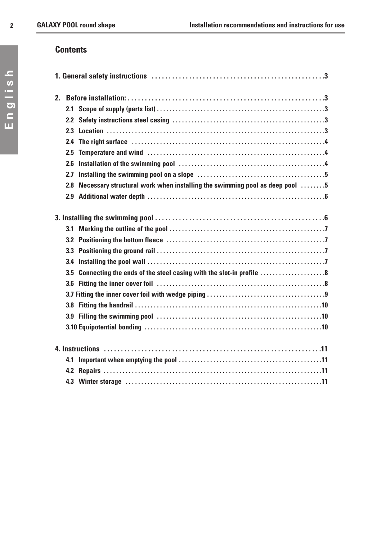# **Contents**

| 2. |                  |                                                                                                                                                                                                                                |  |  |  |  |  |
|----|------------------|--------------------------------------------------------------------------------------------------------------------------------------------------------------------------------------------------------------------------------|--|--|--|--|--|
|    | 2.1              |                                                                                                                                                                                                                                |  |  |  |  |  |
|    | 2.2              |                                                                                                                                                                                                                                |  |  |  |  |  |
|    | 2.3              |                                                                                                                                                                                                                                |  |  |  |  |  |
|    | $2.4^{\circ}$    | The right surface in the continuum control of the right surface in the control of the right surface in the surface of the right surface in the right surface in the right surface of the right surface in the right surface of |  |  |  |  |  |
|    | $2.5\,$          |                                                                                                                                                                                                                                |  |  |  |  |  |
|    | 2.6              |                                                                                                                                                                                                                                |  |  |  |  |  |
|    | 2.7              |                                                                                                                                                                                                                                |  |  |  |  |  |
|    | 2.8              | Necessary structural work when installing the swimming pool as deep pool 5                                                                                                                                                     |  |  |  |  |  |
|    |                  |                                                                                                                                                                                                                                |  |  |  |  |  |
|    |                  |                                                                                                                                                                                                                                |  |  |  |  |  |
|    |                  |                                                                                                                                                                                                                                |  |  |  |  |  |
|    |                  |                                                                                                                                                                                                                                |  |  |  |  |  |
|    | 3.2              |                                                                                                                                                                                                                                |  |  |  |  |  |
|    |                  |                                                                                                                                                                                                                                |  |  |  |  |  |
|    | 3.4              |                                                                                                                                                                                                                                |  |  |  |  |  |
|    | 3.5              | Connecting the ends of the steel casing with the slot-in profile 8                                                                                                                                                             |  |  |  |  |  |
|    | 3.6              |                                                                                                                                                                                                                                |  |  |  |  |  |
|    |                  |                                                                                                                                                                                                                                |  |  |  |  |  |
|    | 3.8 <sub>z</sub> |                                                                                                                                                                                                                                |  |  |  |  |  |
|    |                  |                                                                                                                                                                                                                                |  |  |  |  |  |
|    |                  |                                                                                                                                                                                                                                |  |  |  |  |  |
|    |                  |                                                                                                                                                                                                                                |  |  |  |  |  |
|    | 4.1              |                                                                                                                                                                                                                                |  |  |  |  |  |
|    |                  |                                                                                                                                                                                                                                |  |  |  |  |  |
|    |                  |                                                                                                                                                                                                                                |  |  |  |  |  |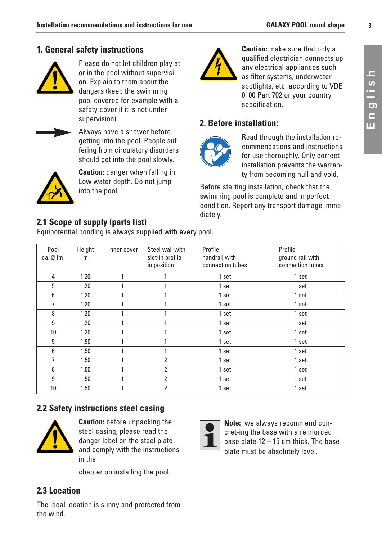#### **1. General safety instructions**



Please do not let children play at or in the pool without supervision. Explain to them about the dangers (keep the swimming pool covered for example with a safety cover if it is not under supervision).



Always have a shower before getting into the pool. People suffering from circulatory disorders should get into the pool slowly.



**Caution:** danger when falling in. Low water depth. Do not jump into the pool.



**Caution:** make sure that only a qualified electrician connects up any electrical appliances such as filter systems, underwater spotlights, etc. according to VDE 0100 Part 702 or your country specification.

#### **2. Before installation:**



Read through the installation recommendations and instructions for use thoroughly. Only correct installation prevents the warranty from becoming null and void.

Before starting installation, check that the swimming pool is complete and in perfect condition. Report any transport damage immediately.

#### **2.1 Scope of supply (parts list)**

Equipotential bonding is always supplied with every pool.

| Pool<br>ca. $\emptyset$ [m] | Height<br>[m] | Inner cover | Steel wall with<br>slot-in profile<br>in position | Profile<br>handrail with<br>connection tubes | Profile<br>ground rail with<br>connection tubes |
|-----------------------------|---------------|-------------|---------------------------------------------------|----------------------------------------------|-------------------------------------------------|
| 4                           | 1.20          |             |                                                   | 1 set                                        | 1 set                                           |
| 5                           | 1.20          |             |                                                   | 1 set                                        | 1 set                                           |
| 6                           | 1.20          |             |                                                   | 1 set                                        | 1 set                                           |
| 7                           | 1.20          |             |                                                   | 1 set                                        | 1 set                                           |
| 8                           | 1.20          |             |                                                   | 1 set                                        | 1 set                                           |
| 9                           | 1.20          |             |                                                   | 1 set                                        | 1 set                                           |
| 10                          | 1.20          |             |                                                   | 1 set                                        | 1 set                                           |
| 5                           | 1.50          |             |                                                   | 1 set                                        | 1 set                                           |
| 6                           | 1.50          |             |                                                   | 1 set                                        | 1 set                                           |
| 7                           | 1.50          |             | $\overline{2}$                                    | 1 set                                        | 1 set                                           |
| 8                           | 1.50          |             | $\overline{2}$                                    | 1 set                                        | 1 set                                           |
| 9                           | 1.50          |             | 2                                                 | 1 set                                        | 1 set                                           |
| 10                          | 1.50          |             | 2                                                 | 1 set                                        | 1 set                                           |

#### **2.2 Safety instructions steel casing**



**Caution:** before unpacking the steel casing, please read the danger label on the steel plate and comply with the instructions in the

chapter on installing the pool.

#### **2.3 Location**

The ideal location is sunny and protected from the wind.



**Note:** we always recommend concret-ing the base with a reinforced base plate 12 – 15 cm thick. The base plate must be absolutely level.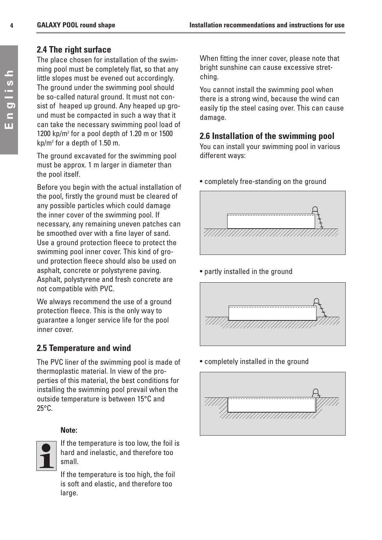#### **2.4 The right surface**

The place chosen for installation of the swimming pool must be completely flat, so that any little slopes must be evened out accordingly. The ground under the swimming pool should be so-called natural ground. It must not consist of heaped up ground. Any heaped up ground must be compacted in such a way that it can take the necessary swimming pool load of 1200 kp/m2 for a pool depth of 1.20 m or 1500 kp/m2 for a depth of 1.50 m.

The ground excavated for the swimming pool must be approx. 1 m larger in diameter than the pool itself.

Before you begin with the actual installation of the pool, firstly the ground must be cleared of any possible particles which could damage the inner cover of the swimming pool. If necessary, any remaining uneven patches can be smoothed over with a fine layer of sand. Use a ground protection fleece to protect the swimming pool inner cover. This kind of ground protection fleece should also be used on asphalt, concrete or polystyrene paving. Asphalt, polystyrene and fresh concrete are not compatible with PVC.

We always recommend the use of a ground protection fleece. This is the only way to guarantee a longer service life for the pool inner cover.

# **2.5 Temperature and wind**

The PVC liner of the swimming pool is made of thermoplastic material. In view of the properties of this material, the best conditions for installing the swimming pool prevail when the outside temperature is between 15°C and 25°C.

#### **Note:**



If the temperature is too low, the foil is hard and inelastic, and therefore too small.

If the temperature is too high, the foil is soft and elastic, and therefore too large.

When fitting the inner cover, please note that bright sunshine can cause excessive stretching.

You cannot install the swimming pool when there is a strong wind, because the wind can easily tip the steel casing over. This can cause damage.

#### **2.6 Installation of the swimming pool**

You can install your swimming pool in various different ways:



• partly installed in the ground



• completely installed in the ground

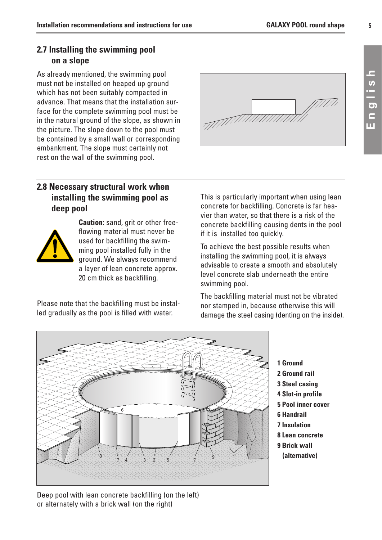#### **2.7 Installing the swimming pool on a slope**

As already mentioned, the swimming pool must not be installed on heaped up ground which has not been suitably compacted in advance. That means that the installation surface for the complete swimming pool must be in the natural ground of the slope, as shown in the picture. The slope down to the pool must be contained by a small wall or corresponding embankment. The slope must certainly not rest on the wall of the swimming pool.



## **2.8 Necessary structural work when installing the swimming pool as deep pool**



**Caution:** sand, grit or other freeflowing material must never be used for backfilling the swimming pool installed fully in the ground. We always recommend a layer of lean concrete approx. 20 cm thick as backfilling.

Please note that the backfilling must be installed gradually as the pool is filled with water.

This is particularly important when using lean concrete for backfilling. Concrete is far heavier than water, so that there is a risk of the concrete backfilling causing dents in the pool if it is installed too quickly.

To achieve the best possible results when installing the swimming pool, it is always advisable to create a smooth and absolutely level concrete slab underneath the entire swimming pool.

The backfilling material must not be vibrated nor stamped in, because otherwise this will damage the steel casing (denting on the inside).



**1 Ground 2 Ground rail 3 Steel casing 4 Slot-in profile 5 Pool inner cover 6 Handrail 7 Insulation 8 Lean concrete 9 Brick wall (alternative)** 

Deep pool with lean concrete backfilling (on the left) or alternately with a brick wall (on the right)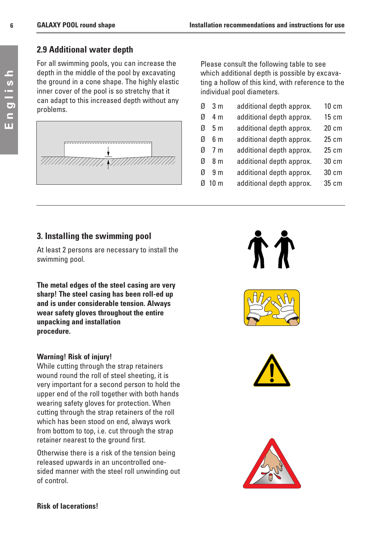#### **2.9 Additional water depth**

For all swimming pools, you can increase the depth in the middle of the pool by excavating the ground in a cone shape. The highly elastic inner cover of the pool is so stretchy that it can adapt to this increased depth without any problems.



Please consult the following table to see which additional depth is possible by excavating a hollow of this kind, with reference to the individual pool diameters.

- Ø 3 m additional depth approx. 10 cm
- Ø 4 m additional depth approx. 15 cm
- Ø 5 m additional depth approx. 20 cm
- Ø 6 m additional depth approx. 25 cm
- Ø 7 m additional depth approx. 25 cm
- Ø 8 m additional depth approx. 30 cm
- Ø 9 m additional depth approx. 30 cm
- Ø 10 m additional depth approx. 35 cm

#### **3. Installing the swimming pool**

At least 2 persons are necessary to install the swimming pool.

**The metal edges of the steel casing are very sharp! The steel casing has been roll-ed up and is under considerable tension. Always wear safety gloves throughout the entire unpacking and installation procedure.**

#### **Warning! Risk of injury!**

While cutting through the strap retainers wound round the roll of steel sheeting, it is very important for a second person to hold the upper end of the roll together with both hands wearing safety gloves for protection. When cutting through the strap retainers of the roll which has been stood on end, always work from bottom to top, i.e. cut through the strap retainer nearest to the ground first.

Otherwise there is a risk of the tension being released upwards in an uncontrolled onesided manner with the steel roll unwinding out of control.









**6**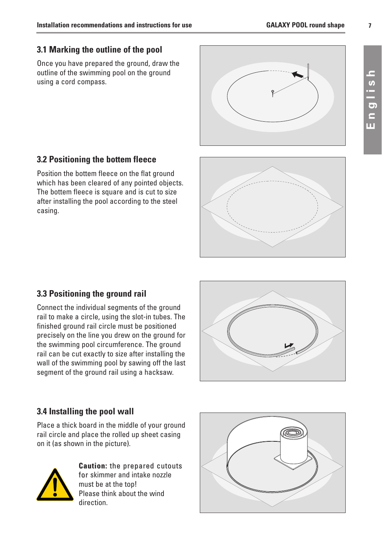# **7**

# **3.1 Marking the outline of the pool**

Once you have prepared the ground, draw the outline of the swimming pool on the ground using a cord compass.



# **3.2 Positioning the bottem fleece**

Position the bottem fleece on the flat ground which has been cleared of any pointed objects. The bottem fleece is square and is cut to size after installing the pool according to the steel casing.



#### **3.3 Positioning the ground rail**

Connect the individual segments of the ground rail to make a circle, using the slot-in tubes. The finished ground rail circle must be positioned precisely on the line you drew on the ground for the swimming pool circumference. The ground rail can be cut exactly to size after installing the wall of the swimming pool by sawing off the last segment of the ground rail using a hacksaw.



#### **3.4 Installing the pool wall**

Place a thick board in the middle of your ground rail circle and place the rolled up sheet casing on it (as shown in the picture).



**Caution:** the prepared cutouts for skimmer and intake nozzle must be at the top! Please think about the wind direction.

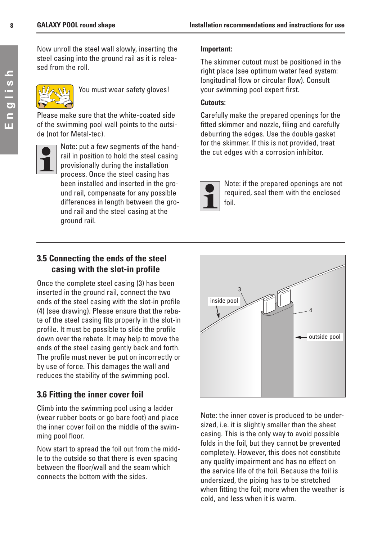English **English** Now unroll the steel wall slowly, inserting the steel casing into the ground rail as it is released from the roll.



You must wear safety gloves!

Please make sure that the white-coated side of the swimming pool wall points to the outside (not for Metal-tec).



Note: put a few segments of the handrail in position to hold the steel casing provisionally during the installation process. Once the steel casing has been installed and inserted in the ground rail, compensate for any possible differences in length between the ground rail and the steel casing at the ground rail.

#### **Important:**

The skimmer cutout must be positioned in the right place (see optimum water feed system: longitudinal flow or circular flow). Consult your swimming pool expert first.

#### **Cutouts:**

Carefully make the prepared openings for the fitted skimmer and nozzle, filing and carefully deburring the edges. Use the double gasket for the skimmer. If this is not provided, treat the cut edges with a corrosion inhibitor.



Note: if the prepared openings are not required, seal them with the enclosed foil.

## **3.5 Connecting the ends of the steel casing with the slot-in profile**

Once the complete steel casing (3) has been inserted in the ground rail, connect the two ends of the steel casing with the slot-in profile (4) (see drawing). Please ensure that the rebate of the steel casing fits properly in the slot-in profile. It must be possible to slide the profile down over the rebate. It may help to move the ends of the steel casing gently back and forth. The profile must never be put on incorrectly or by use of force. This damages the wall and reduces the stability of the swimming pool.

# **3.6 Fitting the inner cover foil**

Climb into the swimming pool using a ladder (wear rubber boots or go bare foot) and place the inner cover foil on the middle of the swimming pool floor.

Now start to spread the foil out from the middle to the outside so that there is even spacing between the floor/wall and the seam which connects the bottom with the sides.



Note: the inner cover is produced to be undersized, i.e. it is slightly smaller than the sheet casing. This is the only way to avoid possible folds in the foil, but they cannot be prevented completely. However, this does not constitute any quality impairment and has no effect on the service life of the foil. Because the foil is undersized, the piping has to be stretched when fitting the foil; more when the weather is cold, and less when it is warm.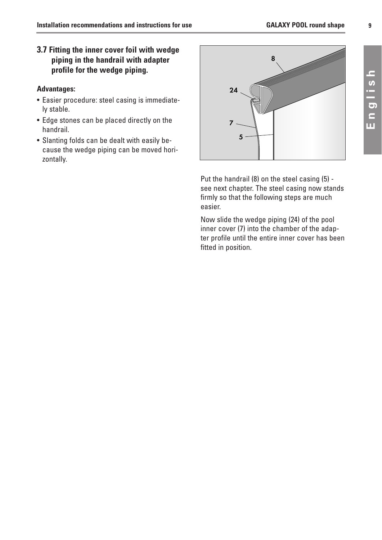#### **3.7 Fitting the inner cover foil with wedge piping in the handrail with adapter profile for the wedge piping.**

#### **Advantages:**

- Easier procedure: steel casing is immediately stable.
- Edge stones can be placed directly on the handrail.
- Slanting folds can be dealt with easily because the wedge piping can be moved horizontally.



Put the handrail (8) on the steel casing (5) see next chapter. The steel casing now stands firmly so that the following steps are much easier.

Now slide the wedge piping (24) of the pool inner cover (7) into the chamber of the adapter profile until the entire inner cover has been fitted in position.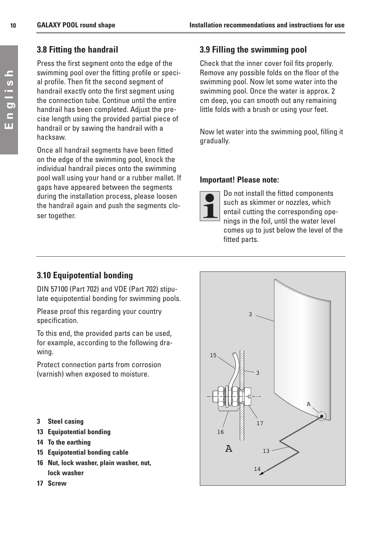## **3.8 Fitting the handrail**

Press the first segment onto the edge of the swimming pool over the fitting profile or special profile. Then fit the second segment of handrail exactly onto the first segment using the connection tube. Continue until the entire handrail has been completed. Adjust the precise length using the provided partial piece of handrail or by sawing the handrail with a hacksaw.

Once all handrail segments have been fitted on the edge of the swimming pool, knock the individual handrail pieces onto the swimming pool wall using your hand or a rubber mallet. If gaps have appeared between the segments during the installation process, please loosen the handrail again and push the segments closer together.

# **3.9 Filling the swimming pool**

Check that the inner cover foil fits properly. Remove any possible folds on the floor of the swimming pool. Now let some water into the swimming pool. Once the water is approx. 2 cm deep, you can smooth out any remaining little folds with a brush or using your feet.

Now let water into the swimming pool, filling it gradually.

#### **Important! Please note:**



Do not install the fitted components such as skimmer or nozzles, which entail cutting the corresponding openings in the foil, until the water level comes up to just below the level of the fitted parts.

# **3.10 Equipotential bonding**

DIN 57100 (Part 702) and VDE (Part 702) stipulate equipotential bonding for swimming pools.

Please proof this regarding your country specification.

To this end, the provided parts can be used, for example, according to the following drawing.

Protect connection parts from corrosion (varnish) when exposed to moisture.

- **3 Steel casing**
- **13 Equipotential bonding**
- **14 To the earthing**
- **15 Equipotential bonding cable**
- **16 Nut, lock washer, plain washer, nut, lock washer**
- **17 Screw**

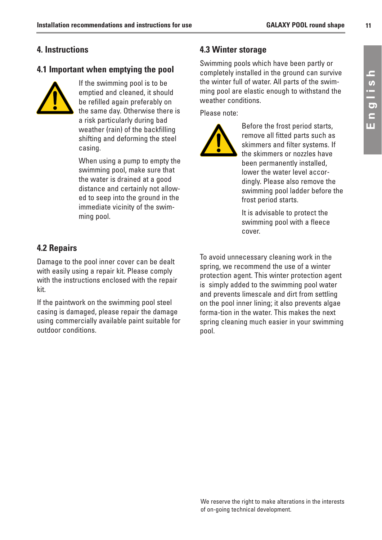#### **4. Instructions**

#### **4.1 Important when emptying the pool**



If the swimming pool is to be emptied and cleaned, it should be refilled again preferably on the same day. Otherwise there is a risk particularly during bad weather (rain) of the backfilling shifting and deforming the steel casing.

When using a pump to empty the swimming pool, make sure that the water is drained at a good distance and certainly not allowed to seep into the ground in the immediate vicinity of the swimming pool.

#### **4.3 Winter storage**

Swimming pools which have been partly or completely installed in the ground can survive the winter full of water. All parts of the swimming pool are elastic enough to withstand the weather conditions.

Please note:



Before the frost period starts, remove all fitted parts such as skimmers and filter systems. If the skimmers or nozzles have been permanently installed, lower the water level accordingly. Please also remove the swimming pool ladder before the frost period starts.

It is advisable to protect the swimming pool with a fleece cover.

#### **4.2 Repairs**

Damage to the pool inner cover can be dealt with easily using a repair kit. Please comply with the instructions enclosed with the repair kit.

If the paintwork on the swimming pool steel casing is damaged, please repair the damage using commercially available paint suitable for outdoor conditions.

To avoid unnecessary cleaning work in the spring, we recommend the use of a winter protection agent. This winter protection agent is simply added to the swimming pool water and prevents limescale and dirt from settling on the pool inner lining; it also prevents algae forma-tion in the water. This makes the next spring cleaning much easier in your swimming pool.

**11**